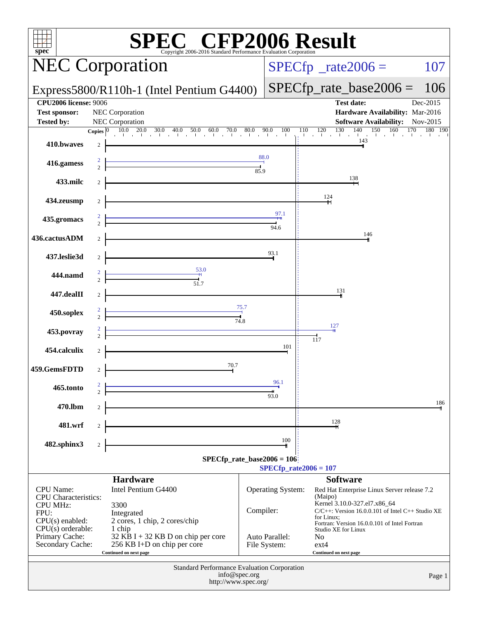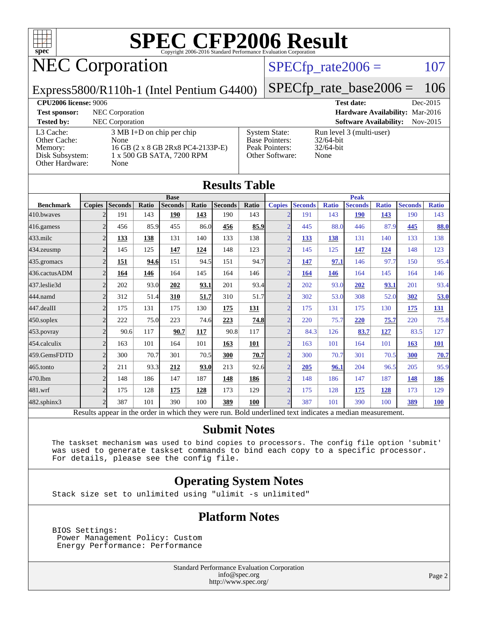

## NEC Corporation

### $SPECTp_rate2006 = 107$

Express5800/R110h-1 (Intel Pentium G4400)

[SPECfp\\_rate\\_base2006 =](http://www.spec.org/auto/cpu2006/Docs/result-fields.html#SPECfpratebase2006) 106

**[CPU2006 license:](http://www.spec.org/auto/cpu2006/Docs/result-fields.html#CPU2006license)** 9006 **[Test date:](http://www.spec.org/auto/cpu2006/Docs/result-fields.html#Testdate)** Dec-2015 **[Test sponsor:](http://www.spec.org/auto/cpu2006/Docs/result-fields.html#Testsponsor)** NEC Corporation **[Hardware Availability:](http://www.spec.org/auto/cpu2006/Docs/result-fields.html#HardwareAvailability)** Mar-2016 **[Tested by:](http://www.spec.org/auto/cpu2006/Docs/result-fields.html#Testedby)** NEC Corporation **[Software Availability:](http://www.spec.org/auto/cpu2006/Docs/result-fields.html#SoftwareAvailability)** Nov-2015 [L3 Cache:](http://www.spec.org/auto/cpu2006/Docs/result-fields.html#L3Cache) 3 MB I+D on chip per chip<br>Other Cache: None [Other Cache:](http://www.spec.org/auto/cpu2006/Docs/result-fields.html#OtherCache) [Memory:](http://www.spec.org/auto/cpu2006/Docs/result-fields.html#Memory) 16 GB (2 x 8 GB 2Rx8 PC4-2133P-E) [Disk Subsystem:](http://www.spec.org/auto/cpu2006/Docs/result-fields.html#DiskSubsystem) 1 x 500 GB SATA, 7200 RPM [Other Hardware:](http://www.spec.org/auto/cpu2006/Docs/result-fields.html#OtherHardware) None [System State:](http://www.spec.org/auto/cpu2006/Docs/result-fields.html#SystemState) Run level 3 (multi-user)<br>Base Pointers: 32/64-bit [Base Pointers:](http://www.spec.org/auto/cpu2006/Docs/result-fields.html#BasePointers) [Peak Pointers:](http://www.spec.org/auto/cpu2006/Docs/result-fields.html#PeakPointers) 32/64-bit [Other Software:](http://www.spec.org/auto/cpu2006/Docs/result-fields.html#OtherSoftware) None

| <b>Results Table</b> |                |                                                                                                          |       |                |            |                |             |                          |                |              |                |              |                |              |
|----------------------|----------------|----------------------------------------------------------------------------------------------------------|-------|----------------|------------|----------------|-------------|--------------------------|----------------|--------------|----------------|--------------|----------------|--------------|
|                      |                |                                                                                                          |       | <b>Base</b>    |            |                |             |                          |                |              | <b>Peak</b>    |              |                |              |
| <b>Benchmark</b>     | <b>Copies</b>  | <b>Seconds</b>                                                                                           | Ratio | <b>Seconds</b> | Ratio      | <b>Seconds</b> | Ratio       | <b>Copies</b>            | <b>Seconds</b> | <b>Ratio</b> | <b>Seconds</b> | <b>Ratio</b> | <b>Seconds</b> | <b>Ratio</b> |
| 410.bwayes           |                | 191                                                                                                      | 143   | 190            | 143        | 190            | 143         |                          | 191            | 143          | <b>190</b>     | 143          | 190            | 143          |
| 416.gamess           | $\overline{2}$ | 456                                                                                                      | 85.9  | 455            | 86.0       | 456            | 85.9        | $\mathcal{D}$            | 445            | 88.0         | 446            | 87.9         | 445            | 88.0         |
| $433$ .milc          | $\overline{2}$ | 133                                                                                                      | 138   | 131            | 140        | 133            | 138         | $\overline{2}$           | 133            | 138          | 131            | 140          | 133            | 138          |
| 434.zeusmp           | $\overline{2}$ | 145                                                                                                      | 125   | 147            | 124        | 148            | 123         | $\overline{\mathcal{L}}$ | 145            | 125          | 147            | 124          | 148            | 123          |
| 435.gromacs          | $\overline{2}$ | 151                                                                                                      | 94.6  | 151            | 94.5       | 151            | 94.7        | $\overline{\mathcal{L}}$ | 147            | 97.1         | 146            | 97.7         | 150            | 95.4         |
| 436.cactusADM        | $\overline{2}$ | 164                                                                                                      | 146   | 164            | 145        | 164            | 146         | $\overline{\mathcal{L}}$ | 164            | 146          | 164            | 145          | 164            | 146          |
| 437.leslie3d         | $\overline{2}$ | 202                                                                                                      | 93.0  | 202            | 93.1       | 201            | 93.4        | $\overline{2}$           | 202            | 93.0         | 202            | 93.1         | 201            | 93.4         |
| 444.namd             | $\overline{2}$ | 312                                                                                                      | 51.4  | 310            | 51.7       | 310            | 51.7        | $\mathfrak{D}$           | 302            | 53.0         | 308            | 52.0         | 302            | 53.0         |
| 447.dealII           | $\overline{2}$ | 175                                                                                                      | 131   | 175            | 130        | 175            | 131         | $\overline{\mathcal{L}}$ | 175            | 131          | 175            | 130          | 175            | 131          |
| $450$ .soplex        | $\overline{2}$ | 222                                                                                                      | 75.0  | 223            | 74.6       | 223            | 74.8        | $\overline{2}$           | 220            | 75.7         | 220            | 75.7         | 220            | 75.8         |
| 453.povray           | $\overline{2}$ | 90.6                                                                                                     | 117   | 90.7           | <b>117</b> | 90.8           | 117         | $\mathfrak{D}$           | 84.3           | 126          | 83.7           | 127          | 83.5           | 127          |
| 454.calculix         | $\overline{2}$ | 163                                                                                                      | 101   | 164            | 101        | 163            | 101         | $\mathcal{D}$            | 163            | 101          | 164            | 101          | 163            | <b>101</b>   |
| 459.GemsFDTD         | $\overline{2}$ | 300                                                                                                      | 70.7  | 301            | 70.5       | 300            | <b>70.7</b> | $\overline{\mathcal{L}}$ | 300            | 70.7         | 301            | 70.5         | 300            | 70.7         |
| 465.tonto            | $\overline{2}$ | 211                                                                                                      | 93.3  | 212            | 93.0       | 213            | 92.6        | $\overline{2}$           | 205            | 96.1         | 204            | 96.5         | 205            | 95.9         |
| 470.1bm              | $\overline{2}$ | 148                                                                                                      | 186   | 147            | 187        | 148            | 186         | $\overline{2}$           | 148            | 186          | 147            | 187          | 148            | 186          |
| 481.wrf              | $\overline{2}$ | 175                                                                                                      | 128   | 175            | 128        | 173            | 129         | $\overline{\mathcal{L}}$ | 175            | 128          | 175            | 128          | 173            | 129          |
| 482.sphinx3          | $\overline{2}$ | 387                                                                                                      | 101   | 390            | 100        | 389            | 100         | $\mathcal{D}$            | 387            | 101          | 390            | 100          | 389            | 100          |
|                      |                | Results appear in the order in which they were run. Bold underlined text indicates a median measurement. |       |                |            |                |             |                          |                |              |                |              |                |              |

### **[Submit Notes](http://www.spec.org/auto/cpu2006/Docs/result-fields.html#SubmitNotes)**

 The taskset mechanism was used to bind copies to processors. The config file option 'submit' was used to generate taskset commands to bind each copy to a specific processor. For details, please see the config file.

### **[Operating System Notes](http://www.spec.org/auto/cpu2006/Docs/result-fields.html#OperatingSystemNotes)**

Stack size set to unlimited using "ulimit -s unlimited"

### **[Platform Notes](http://www.spec.org/auto/cpu2006/Docs/result-fields.html#PlatformNotes)**

 BIOS Settings: Power Management Policy: Custom Energy Performance: Performance

> Standard Performance Evaluation Corporation [info@spec.org](mailto:info@spec.org) <http://www.spec.org/>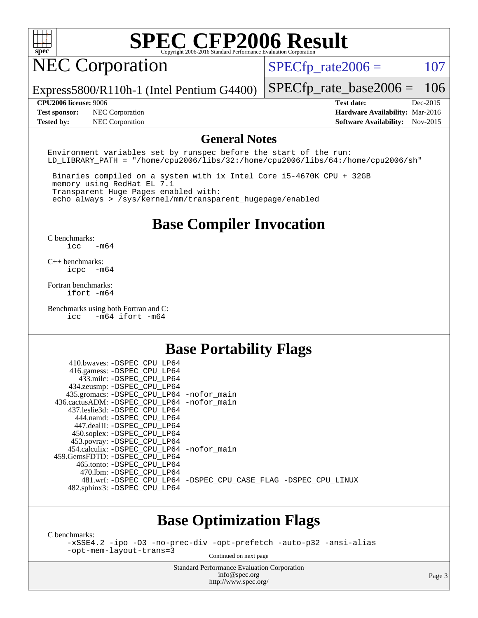

### NEC Corporation

 $SPECTp_rate2006 = 107$ 

Express5800/R110h-1 (Intel Pentium G4400)

[SPECfp\\_rate\\_base2006 =](http://www.spec.org/auto/cpu2006/Docs/result-fields.html#SPECfpratebase2006) 106

**[Test sponsor:](http://www.spec.org/auto/cpu2006/Docs/result-fields.html#Testsponsor)** NEC Corporation **[Hardware Availability:](http://www.spec.org/auto/cpu2006/Docs/result-fields.html#HardwareAvailability)** Mar-2016 **[Tested by:](http://www.spec.org/auto/cpu2006/Docs/result-fields.html#Testedby)** NEC Corporation **[Software Availability:](http://www.spec.org/auto/cpu2006/Docs/result-fields.html#SoftwareAvailability)** Nov-2015

**[CPU2006 license:](http://www.spec.org/auto/cpu2006/Docs/result-fields.html#CPU2006license)** 9006 **[Test date:](http://www.spec.org/auto/cpu2006/Docs/result-fields.html#Testdate)** Dec-2015

### **[General Notes](http://www.spec.org/auto/cpu2006/Docs/result-fields.html#GeneralNotes)**

Environment variables set by runspec before the start of the run: LD LIBRARY PATH = "/home/cpu2006/libs/32:/home/cpu2006/libs/64:/home/cpu2006/sh"

 Binaries compiled on a system with 1x Intel Core i5-4670K CPU + 32GB memory using RedHat EL 7.1 Transparent Huge Pages enabled with: echo always > /sys/kernel/mm/transparent\_hugepage/enabled

### **[Base Compiler Invocation](http://www.spec.org/auto/cpu2006/Docs/result-fields.html#BaseCompilerInvocation)**

[C benchmarks](http://www.spec.org/auto/cpu2006/Docs/result-fields.html#Cbenchmarks): [icc -m64](http://www.spec.org/cpu2006/results/res2016q1/cpu2006-20160125-38814.flags.html#user_CCbase_intel_icc_64bit_0b7121f5ab7cfabee23d88897260401c)

[C++ benchmarks:](http://www.spec.org/auto/cpu2006/Docs/result-fields.html#CXXbenchmarks) [icpc -m64](http://www.spec.org/cpu2006/results/res2016q1/cpu2006-20160125-38814.flags.html#user_CXXbase_intel_icpc_64bit_bedb90c1146cab66620883ef4f41a67e)

[Fortran benchmarks](http://www.spec.org/auto/cpu2006/Docs/result-fields.html#Fortranbenchmarks): [ifort -m64](http://www.spec.org/cpu2006/results/res2016q1/cpu2006-20160125-38814.flags.html#user_FCbase_intel_ifort_64bit_ee9d0fb25645d0210d97eb0527dcc06e)

[Benchmarks using both Fortran and C](http://www.spec.org/auto/cpu2006/Docs/result-fields.html#BenchmarksusingbothFortranandC): [icc -m64](http://www.spec.org/cpu2006/results/res2016q1/cpu2006-20160125-38814.flags.html#user_CC_FCbase_intel_icc_64bit_0b7121f5ab7cfabee23d88897260401c) [ifort -m64](http://www.spec.org/cpu2006/results/res2016q1/cpu2006-20160125-38814.flags.html#user_CC_FCbase_intel_ifort_64bit_ee9d0fb25645d0210d97eb0527dcc06e)

### **[Base Portability Flags](http://www.spec.org/auto/cpu2006/Docs/result-fields.html#BasePortabilityFlags)**

| 410.bwaves: -DSPEC CPU LP64<br>416.gamess: -DSPEC_CPU_LP64 |                                                                |
|------------------------------------------------------------|----------------------------------------------------------------|
| 433.milc: -DSPEC CPU LP64                                  |                                                                |
| 434.zeusmp: -DSPEC_CPU_LP64                                |                                                                |
| 435.gromacs: -DSPEC_CPU_LP64 -nofor_main                   |                                                                |
| 436.cactusADM: -DSPEC CPU LP64 -nofor main                 |                                                                |
| 437.leslie3d: -DSPEC CPU LP64                              |                                                                |
| 444.namd: - DSPEC_CPU_LP64                                 |                                                                |
| 447.dealII: -DSPEC_CPU_LP64                                |                                                                |
| 450.soplex: -DSPEC_CPU_LP64                                |                                                                |
| 453.povray: -DSPEC_CPU_LP64                                |                                                                |
| 454.calculix: -DSPEC_CPU_LP64 -nofor_main                  |                                                                |
| 459. GemsFDTD: - DSPEC CPU LP64                            |                                                                |
| 465.tonto: - DSPEC CPU LP64                                |                                                                |
| 470.1bm: - DSPEC CPU LP64                                  |                                                                |
|                                                            | 481.wrf: -DSPEC CPU_LP64 -DSPEC_CPU_CASE_FLAG -DSPEC_CPU_LINUX |
| 482.sphinx3: -DSPEC_CPU_LP64                               |                                                                |
|                                                            |                                                                |

### **[Base Optimization Flags](http://www.spec.org/auto/cpu2006/Docs/result-fields.html#BaseOptimizationFlags)**

[C benchmarks](http://www.spec.org/auto/cpu2006/Docs/result-fields.html#Cbenchmarks):

[-xSSE4.2](http://www.spec.org/cpu2006/results/res2016q1/cpu2006-20160125-38814.flags.html#user_CCbase_f-xSSE42_f91528193cf0b216347adb8b939d4107) [-ipo](http://www.spec.org/cpu2006/results/res2016q1/cpu2006-20160125-38814.flags.html#user_CCbase_f-ipo) [-O3](http://www.spec.org/cpu2006/results/res2016q1/cpu2006-20160125-38814.flags.html#user_CCbase_f-O3) [-no-prec-div](http://www.spec.org/cpu2006/results/res2016q1/cpu2006-20160125-38814.flags.html#user_CCbase_f-no-prec-div) [-opt-prefetch](http://www.spec.org/cpu2006/results/res2016q1/cpu2006-20160125-38814.flags.html#user_CCbase_f-opt-prefetch) [-auto-p32](http://www.spec.org/cpu2006/results/res2016q1/cpu2006-20160125-38814.flags.html#user_CCbase_f-auto-p32) [-ansi-alias](http://www.spec.org/cpu2006/results/res2016q1/cpu2006-20160125-38814.flags.html#user_CCbase_f-ansi-alias) [-opt-mem-layout-trans=3](http://www.spec.org/cpu2006/results/res2016q1/cpu2006-20160125-38814.flags.html#user_CCbase_f-opt-mem-layout-trans_a7b82ad4bd7abf52556d4961a2ae94d5)

Continued on next page

Standard Performance Evaluation Corporation [info@spec.org](mailto:info@spec.org) <http://www.spec.org/>

Page 3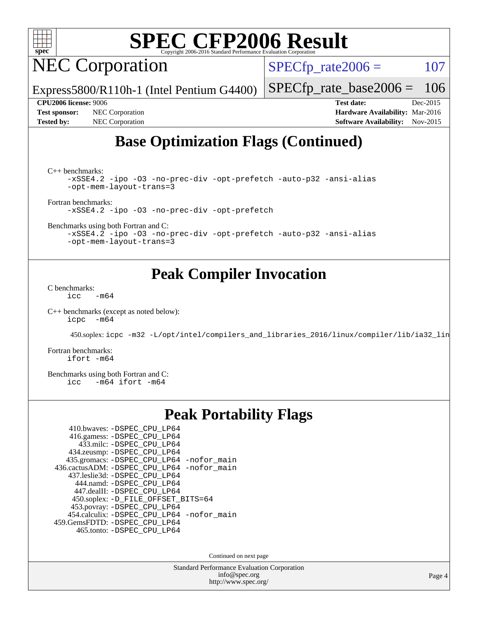

NEC Corporation

 $SPECTp_rate2006 = 107$ 

Express5800/R110h-1 (Intel Pentium G4400)

[SPECfp\\_rate\\_base2006 =](http://www.spec.org/auto/cpu2006/Docs/result-fields.html#SPECfpratebase2006) 106

**[Test sponsor:](http://www.spec.org/auto/cpu2006/Docs/result-fields.html#Testsponsor)** NEC Corporation **[Hardware Availability:](http://www.spec.org/auto/cpu2006/Docs/result-fields.html#HardwareAvailability)** Mar-2016 **[Tested by:](http://www.spec.org/auto/cpu2006/Docs/result-fields.html#Testedby)** NEC Corporation **[Software Availability:](http://www.spec.org/auto/cpu2006/Docs/result-fields.html#SoftwareAvailability)** Nov-2015

**[CPU2006 license:](http://www.spec.org/auto/cpu2006/Docs/result-fields.html#CPU2006license)** 9006 **[Test date:](http://www.spec.org/auto/cpu2006/Docs/result-fields.html#Testdate)** Dec-2015

### **[Base Optimization Flags \(Continued\)](http://www.spec.org/auto/cpu2006/Docs/result-fields.html#BaseOptimizationFlags)**

[C++ benchmarks:](http://www.spec.org/auto/cpu2006/Docs/result-fields.html#CXXbenchmarks)

```
-xSSE4.2 -ipo -O3 -no-prec-div -opt-prefetch -auto-p32 -ansi-alias
-opt-mem-layout-trans=3
```
[Fortran benchmarks](http://www.spec.org/auto/cpu2006/Docs/result-fields.html#Fortranbenchmarks):

[-xSSE4.2](http://www.spec.org/cpu2006/results/res2016q1/cpu2006-20160125-38814.flags.html#user_FCbase_f-xSSE42_f91528193cf0b216347adb8b939d4107) [-ipo](http://www.spec.org/cpu2006/results/res2016q1/cpu2006-20160125-38814.flags.html#user_FCbase_f-ipo) [-O3](http://www.spec.org/cpu2006/results/res2016q1/cpu2006-20160125-38814.flags.html#user_FCbase_f-O3) [-no-prec-div](http://www.spec.org/cpu2006/results/res2016q1/cpu2006-20160125-38814.flags.html#user_FCbase_f-no-prec-div) [-opt-prefetch](http://www.spec.org/cpu2006/results/res2016q1/cpu2006-20160125-38814.flags.html#user_FCbase_f-opt-prefetch)

[Benchmarks using both Fortran and C](http://www.spec.org/auto/cpu2006/Docs/result-fields.html#BenchmarksusingbothFortranandC):

[-xSSE4.2](http://www.spec.org/cpu2006/results/res2016q1/cpu2006-20160125-38814.flags.html#user_CC_FCbase_f-xSSE42_f91528193cf0b216347adb8b939d4107) [-ipo](http://www.spec.org/cpu2006/results/res2016q1/cpu2006-20160125-38814.flags.html#user_CC_FCbase_f-ipo) [-O3](http://www.spec.org/cpu2006/results/res2016q1/cpu2006-20160125-38814.flags.html#user_CC_FCbase_f-O3) [-no-prec-div](http://www.spec.org/cpu2006/results/res2016q1/cpu2006-20160125-38814.flags.html#user_CC_FCbase_f-no-prec-div) [-opt-prefetch](http://www.spec.org/cpu2006/results/res2016q1/cpu2006-20160125-38814.flags.html#user_CC_FCbase_f-opt-prefetch) [-auto-p32](http://www.spec.org/cpu2006/results/res2016q1/cpu2006-20160125-38814.flags.html#user_CC_FCbase_f-auto-p32) [-ansi-alias](http://www.spec.org/cpu2006/results/res2016q1/cpu2006-20160125-38814.flags.html#user_CC_FCbase_f-ansi-alias) [-opt-mem-layout-trans=3](http://www.spec.org/cpu2006/results/res2016q1/cpu2006-20160125-38814.flags.html#user_CC_FCbase_f-opt-mem-layout-trans_a7b82ad4bd7abf52556d4961a2ae94d5)

### **[Peak Compiler Invocation](http://www.spec.org/auto/cpu2006/Docs/result-fields.html#PeakCompilerInvocation)**

[C benchmarks](http://www.spec.org/auto/cpu2006/Docs/result-fields.html#Cbenchmarks):  $\text{icc}$  -m64

[C++ benchmarks \(except as noted below\):](http://www.spec.org/auto/cpu2006/Docs/result-fields.html#CXXbenchmarksexceptasnotedbelow) [icpc -m64](http://www.spec.org/cpu2006/results/res2016q1/cpu2006-20160125-38814.flags.html#user_CXXpeak_intel_icpc_64bit_bedb90c1146cab66620883ef4f41a67e)

450.soplex: [icpc -m32 -L/opt/intel/compilers\\_and\\_libraries\\_2016/linux/compiler/lib/ia32\\_lin](http://www.spec.org/cpu2006/results/res2016q1/cpu2006-20160125-38814.flags.html#user_peakCXXLD450_soplex_intel_icpc_b4f50a394bdb4597aa5879c16bc3f5c5)

[Fortran benchmarks](http://www.spec.org/auto/cpu2006/Docs/result-fields.html#Fortranbenchmarks): [ifort -m64](http://www.spec.org/cpu2006/results/res2016q1/cpu2006-20160125-38814.flags.html#user_FCpeak_intel_ifort_64bit_ee9d0fb25645d0210d97eb0527dcc06e)

[Benchmarks using both Fortran and C](http://www.spec.org/auto/cpu2006/Docs/result-fields.html#BenchmarksusingbothFortranandC):<br>icc -m64 ifort -m64  $-m64$  ifort  $-m64$ 

### **[Peak Portability Flags](http://www.spec.org/auto/cpu2006/Docs/result-fields.html#PeakPortabilityFlags)**

| 410.bwaves: -DSPEC_CPU_LP64                |  |
|--------------------------------------------|--|
| 416.gamess: -DSPEC_CPU_LP64                |  |
| 433.milc: -DSPEC CPU LP64                  |  |
| 434.zeusmp: -DSPEC_CPU_LP64                |  |
| 435.gromacs: -DSPEC_CPU_LP64 -nofor_main   |  |
| 436.cactusADM: -DSPEC_CPU_LP64 -nofor_main |  |
| 437.leslie3d: -DSPEC CPU LP64              |  |
| 444.namd: - DSPEC_CPU LP64                 |  |
| 447.dealII: -DSPEC_CPU_LP64                |  |
| 450.soplex: -D_FILE_OFFSET_BITS=64         |  |
| 453.povray: -DSPEC_CPU_LP64                |  |
| 454.calculix: -DSPEC_CPU_LP64 -nofor_main  |  |
| 459. GemsFDTD: - DSPEC CPU LP64            |  |
| 465.tonto: - DSPEC_CPU LP64                |  |

Continued on next page

Standard Performance Evaluation Corporation [info@spec.org](mailto:info@spec.org) <http://www.spec.org/>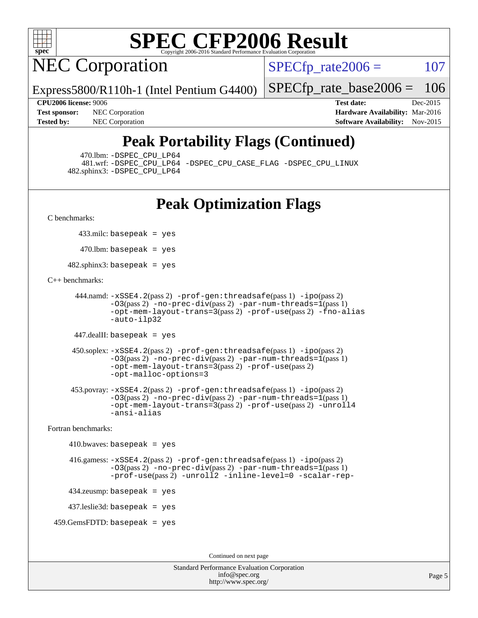

NEC Corporation

 $SPECTp\_rate2006 = 107$ 

[SPECfp\\_rate\\_base2006 =](http://www.spec.org/auto/cpu2006/Docs/result-fields.html#SPECfpratebase2006) 106

Express5800/R110h-1 (Intel Pentium G4400)

**[Tested by:](http://www.spec.org/auto/cpu2006/Docs/result-fields.html#Testedby)** NEC Corporation **[Software Availability:](http://www.spec.org/auto/cpu2006/Docs/result-fields.html#SoftwareAvailability)** Nov-2015

**[CPU2006 license:](http://www.spec.org/auto/cpu2006/Docs/result-fields.html#CPU2006license)** 9006 **[Test date:](http://www.spec.org/auto/cpu2006/Docs/result-fields.html#Testdate)** Dec-2015 **[Test sponsor:](http://www.spec.org/auto/cpu2006/Docs/result-fields.html#Testsponsor)** NEC Corporation **NEC Corporation [Hardware Availability:](http://www.spec.org/auto/cpu2006/Docs/result-fields.html#HardwareAvailability)** Mar-2016

### **[Peak Portability Flags \(Continued\)](http://www.spec.org/auto/cpu2006/Docs/result-fields.html#PeakPortabilityFlags)**

470.lbm: [-DSPEC\\_CPU\\_LP64](http://www.spec.org/cpu2006/results/res2016q1/cpu2006-20160125-38814.flags.html#suite_peakPORTABILITY470_lbm_DSPEC_CPU_LP64)

 481.wrf: [-DSPEC\\_CPU\\_LP64](http://www.spec.org/cpu2006/results/res2016q1/cpu2006-20160125-38814.flags.html#suite_peakPORTABILITY481_wrf_DSPEC_CPU_LP64) [-DSPEC\\_CPU\\_CASE\\_FLAG](http://www.spec.org/cpu2006/results/res2016q1/cpu2006-20160125-38814.flags.html#b481.wrf_peakCPORTABILITY_DSPEC_CPU_CASE_FLAG) [-DSPEC\\_CPU\\_LINUX](http://www.spec.org/cpu2006/results/res2016q1/cpu2006-20160125-38814.flags.html#b481.wrf_peakCPORTABILITY_DSPEC_CPU_LINUX) 482.sphinx3: [-DSPEC\\_CPU\\_LP64](http://www.spec.org/cpu2006/results/res2016q1/cpu2006-20160125-38814.flags.html#suite_peakPORTABILITY482_sphinx3_DSPEC_CPU_LP64)

### **[Peak Optimization Flags](http://www.spec.org/auto/cpu2006/Docs/result-fields.html#PeakOptimizationFlags)**

[C benchmarks](http://www.spec.org/auto/cpu2006/Docs/result-fields.html#Cbenchmarks):

433.milc: basepeak = yes

 $470$ .lbm: basepeak = yes

482.sphinx3: basepeak = yes

### [C++ benchmarks:](http://www.spec.org/auto/cpu2006/Docs/result-fields.html#CXXbenchmarks)

```
 444.namd: -xSSE4.2(pass 2) -prof-gen:threadsafe(pass 1) -ipo(pass 2)
        -03(pass 2)-no-prec-div-par-num-threads=1(pass 1)
        -opt-mem-layout-trans=3(pass 2) -prof-use(pass 2) -fno-alias
        -auto-ilp32
```
447.dealII: basepeak = yes

```
 450.soplex: -xSSE4.2(pass 2) -prof-gen:threadsafe(pass 1) -ipo(pass 2)
         -O3(pass 2) -no-prec-div(pass 2) -par-num-threads=1(pass 1)
         -opt-mem-layout-trans=3(pass 2) -prof-use(pass 2)
         -opt-malloc-options=3
```

```
 453.povray: -xSSE4.2(pass 2) -prof-gen:threadsafe(pass 1) -ipo(pass 2)
         -03(pass 2)-no-prec-div-par-num-threads=1(pass 1)
         -opt-mem-layout-trans=3(pass 2) -prof-use(pass 2) -unroll4
         -ansi-alias
```
[Fortran benchmarks](http://www.spec.org/auto/cpu2006/Docs/result-fields.html#Fortranbenchmarks):

```
410.bwaves: basepeak = yes 416.gamess: -xSSE4.2(pass 2) -prof-gen:threadsafe(pass 1) -ipo(pass 2)
             -03(pass 2)-no-prec-div-par-num-threads=1(pass 1)
             -prof-use(pass 2) -unroll2 -inline-level=0 -scalar-rep-
    434.zeusmp: basepeak = yes
    437.leslie3d: basepeak = yes
 459.GemsFDTD: basepeak = yes
```
Continued on next page

Standard Performance Evaluation Corporation [info@spec.org](mailto:info@spec.org) <http://www.spec.org/>